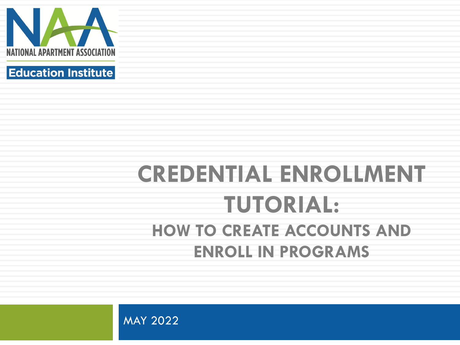



### **CREDENTIAL ENROLLMENT TUTORIAL: HOW TO CREATE ACCOUNTS AND ENROLL IN PROGRAMS**

MAY 2022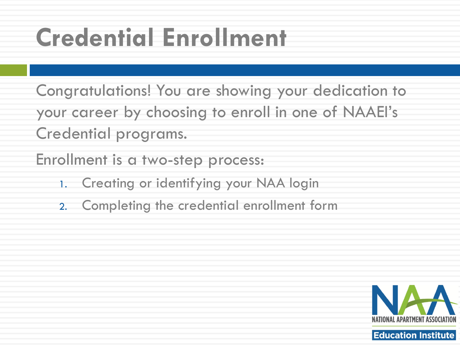## **Credential Enrollment**

Congratulations! You are showing your dedication to your career by choosing to enroll in one of NAAEI's Credential programs.

Enrollment is a two-step process:

- 1. Creating or identifying your NAA login
- 2. Completing the credential enrollment form

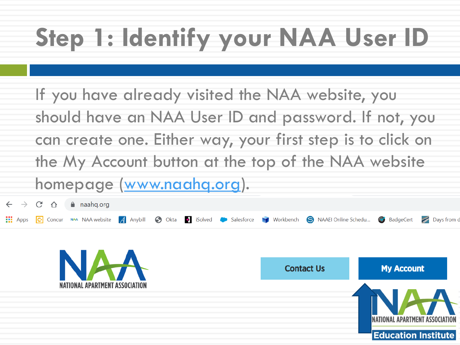# **Step 1: Identify your NAA User ID**

If you have already visited the NAA website, you should have an NAA User ID and password. If not, you can create one. Either way, your first step is to click on the My Account button at the top of the NAA website homepage [\(www.naahq.org\)](http://www.naahq.org/).

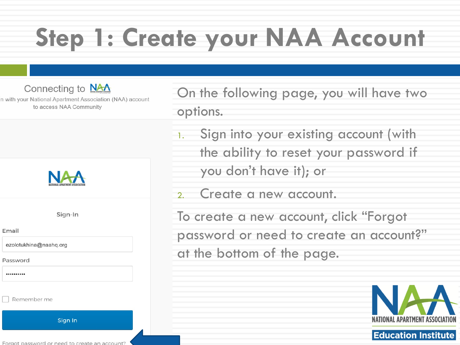Connecting to NAA

n with your National Apartment Association (NAA) account to access NAA Community



Sign-In

Email

ezolotukhina@naahq.org

Password

..........

Remember me

Sign In

On the following page, you will have two options.

- Sign into your existing account (with the ability to reset your password if you don't have it); or
- 2. Create a new account.

To create a new account, click "Forgot password or need to create an account?" at the bottom of the page.

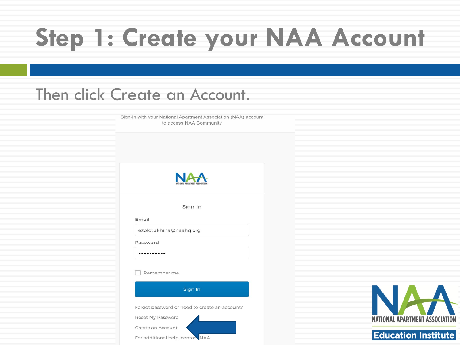### Then click Create an Account.

Sign-in with your National Apartment Association (NAA) account to access NAA Community



Sign-In

Email

ezolotukhina@naahq.org

Password

..........

Remember me

Sign In Forgot password or need to create an account? Reset My Password Create an Account For additional help, contace NAA



### **Education Institute**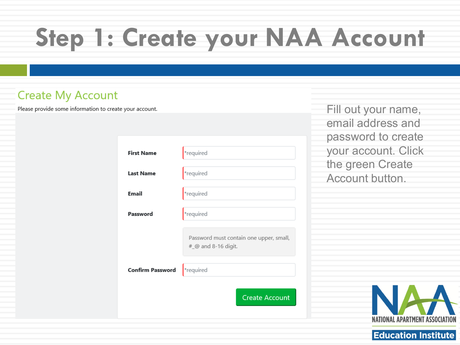### **Create My Account**

Please provide some information to create your account.

| <b>First Name</b>       | *required                                                      |
|-------------------------|----------------------------------------------------------------|
| <b>Last Name</b>        | *required                                                      |
| <b>Email</b>            | *required                                                      |
| Password                | *required                                                      |
|                         | Password must contain one upper, small,<br>#_@ and 8-16 digit. |
| <b>Confirm Password</b> | *required                                                      |
|                         | <b>Create Account</b>                                          |

Fill out your name, email address and password to create your account. Click the green Create Account button.

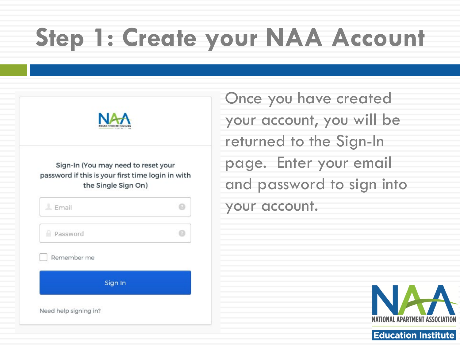| Sign-In (You may need to reset your<br>password if this is your first time login in with<br>the Single Sign On) |  |
|-----------------------------------------------------------------------------------------------------------------|--|
| L Email                                                                                                         |  |
| Password                                                                                                        |  |
| Remember me                                                                                                     |  |
| Sign In                                                                                                         |  |

Once you have created your account, you will be returned to the Sign-In page. Enter your email and password to sign into your account.

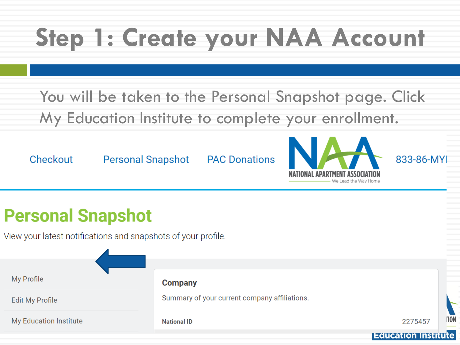You will be taken to the Personal Snapshot page. Click My Education Institute to complete your enrollment.

Checkout

**Personal Snapshot** 

**PAC Donations** 



833-86-MYI

### **Personal Snapshot**

View your latest notifications and snapshots of your profile.

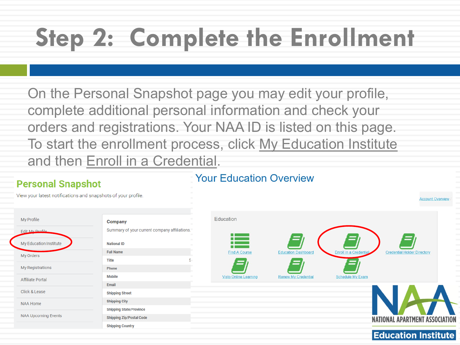On the Personal Snapshot page you may edit your profile, complete additional personal information and check your orders and registrations. Your NAA ID is listed on this page. To start the enrollment process, click My Education Institute and then Enroll in a Credential.

### **Personal Snapshot**

Ed  $\overline{M}$ 

My

### **Your Education Overview**

View your latest notifications and snapshots of your profile.

| My Profile                 | <b>Company</b>                               |  |
|----------------------------|----------------------------------------------|--|
| Edit My Profile            | Summary of your current company affiliations |  |
| My Education Institute     | <b>National ID</b>                           |  |
| My Orders                  | <b>Full Name</b>                             |  |
|                            | <b>Title</b>                                 |  |
| My Registrations           | <b>Phone</b>                                 |  |
| <b>Affiliate Portal</b>    | <b>Mobile</b>                                |  |
|                            | Email                                        |  |
| Click & Lease              | <b>Shipping Street</b>                       |  |
| <b>NAA Home</b>            | <b>Shipping City</b>                         |  |
|                            | <b>Shipping State/Province</b>               |  |
| <b>NAA Upcoming Events</b> | <b>Shipping Zip/Postal Code</b>              |  |
|                            | <b>Shipping Country</b>                      |  |
|                            |                                              |  |

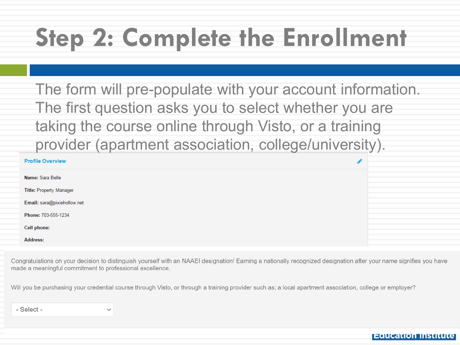The form will pre-populate with your account information. The first question asks you to select whether you are taking the course online through Visto, or a training provider (apartment association, college/university).

| <b>Profile Overview</b>     | ◢ |  |
|-----------------------------|---|--|
| Name: Sara Belle            |   |  |
| Title: Property Manager     |   |  |
| Email: sara@pixiehollow.net |   |  |
| Phone: 703-555-1234         |   |  |
| Cell phone:                 |   |  |
| <b>Address:</b>             |   |  |

Congratulations on your decision to distinguish yourself with an NAAEI designation! Earning a nationally recognized designation after your name signifies you have made a meaningful commitment to professional excellence.

Will you be purchasing your credential course through Visto, or through a training provider such as; a local apartment association, college or employer?

 $-$ Select $-$ 

 $\checkmark$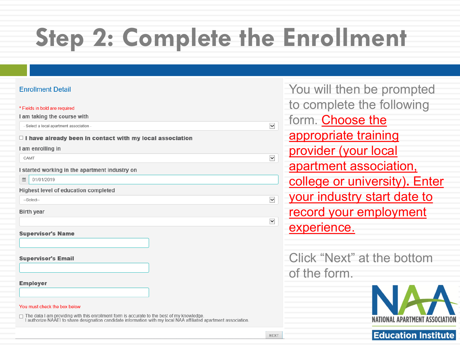### **Fnrollment Detail**

#### \* Fields in bold are required

I am taking the course with

- Select a local apartment association -

 $\Box$  I have already been in contact with my local association

#### I am enrolling in

CAMT

I started working in the apartment industry on

■ 01/01/2019

Highest level of education completed

--Select--

**Birth year** 

**Supervisor's Name** 

**Supervisor's Email** 

**Employer** 

#### You must check the box below

□ The data I am providing with this enrollment form is accurate to the best of my knowledge.<br>I authorize NAAEI to share designation candidate information with my local NAA affiliated apartment association.

| You will then be prompted     |
|-------------------------------|
| to complete the following     |
| form. Choose the              |
| appropriate training          |
| provider (your local          |
| apartment association,        |
| college or university). Enter |
| your industry start date to   |
| record your employment        |
| experience.                   |
|                               |

Click "Next" at the bottom of the form.



 $\overline{\mathsf{v}}$ 

 $\overline{\mathbf{v}}$ 

 $\checkmark$ 

 $\checkmark$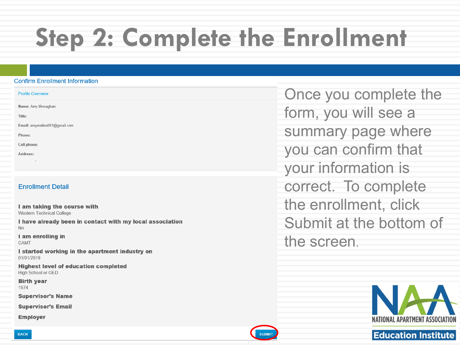#### **Confirm Enrollment Information**

| <b>Profile Overview</b>       |
|-------------------------------|
| Name: Amy Monaghan            |
| Title:                        |
| Email: amymallen001@gmail.com |
| Phone:                        |
| Cell phone:                   |
|                               |

### **Enrollment Detail**

Address:

I am taking the course with Western Technical College

I have already been in contact with my local association  $No$ 

I am enrolling in CAMT

I started working in the apartment industry on 01/01/2019

**Highest level of education completed** High School or GED

**Birth year** 1974

**Supervisor's Name** 

**Supervisor's Email** 

**Employer** 

Once you complete the form, you will see a summary page where you can confirm that your information is correct. To complete the enrollment, click Submit at the bottom of the screen.